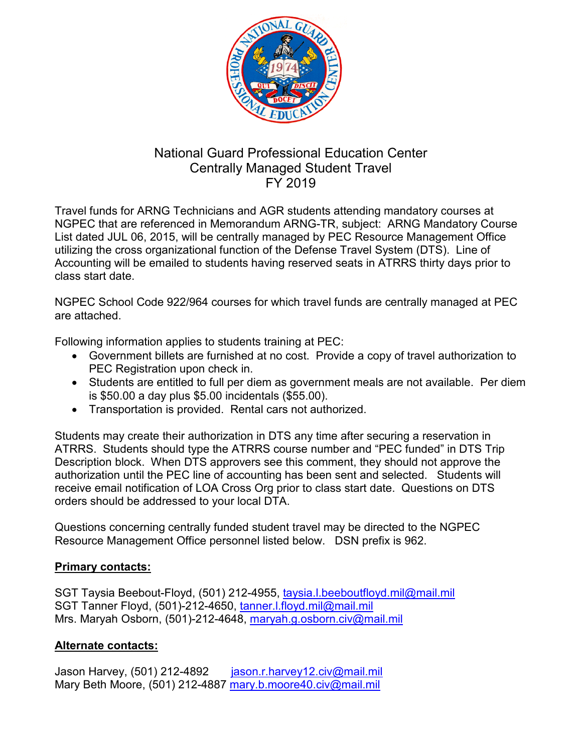

## National Guard Professional Education Center Centrally Managed Student Travel FY 2019

Travel funds for ARNG Technicians and AGR students attending mandatory courses at NGPEC that are referenced in Memorandum ARNG-TR, subject: ARNG Mandatory Course List dated JUL 06, 2015, will be centrally managed by PEC Resource Management Office utilizing the cross organizational function of the Defense Travel System (DTS). Line of Accounting will be emailed to students having reserved seats in ATRRS thirty days prior to class start date.

NGPEC School Code 922/964 courses for which travel funds are centrally managed at PEC are attached.

Following information applies to students training at PEC:

- Government billets are furnished at no cost. Provide a copy of travel authorization to PEC Registration upon check in.
- Students are entitled to full per diem as government meals are not available. Per diem is \$50.00 a day plus \$5.00 incidentals (\$55.00).
- Transportation is provided. Rental cars not authorized.

Students may create their authorization in DTS any time after securing a reservation in ATRRS. Students should type the ATRRS course number and "PEC funded" in DTS Trip Description block. When DTS approvers see this comment, they should not approve the authorization until the PEC line of accounting has been sent and selected. Students will receive email notification of LOA Cross Org prior to class start date. Questions on DTS orders should be addressed to your local DTA.

Questions concerning centrally funded student travel may be directed to the NGPEC Resource Management Office personnel listed below. DSN prefix is 962.

## **Primary contacts:**

SGT Taysia Beebout-Floyd, (501) 212-4955, [taysia.l.beeboutfloyd.mil@mail.mil](mailto:taysia.l.beeboutfloyd.mil@mail.mil) SGT Tanner Floyd, (501)-212-4650, [tanner.l.floyd.mil@mail.mil](mailto:tanner.l.floyd.mil@mail.mil) Mrs. Maryah Osborn, (501)-212-4648, [maryah.g.osborn.civ@mail.mil](mailto:maryah.g.osborn.civ@mail.mil)

## **Alternate contacts:**

Jason Harvey, (501) 212-4892 [jason.r.harvey12.civ@mail.mil](mailto:jason.r.harvey12.civ@mail.mil) Mary Beth Moore, (501) 212-4887 mary.b.moore40.civ@mail.mil